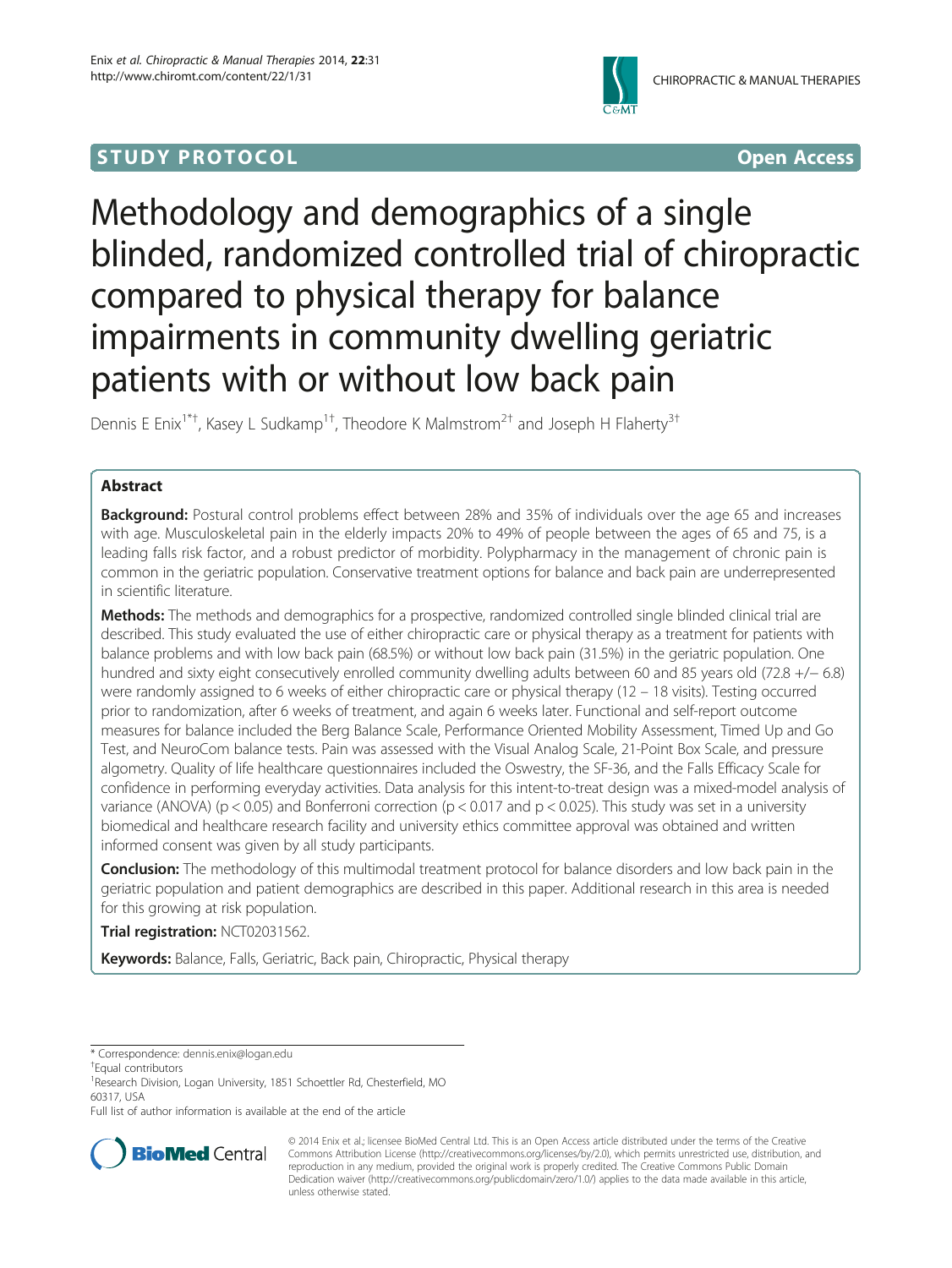

# **STUDY PROTOCOL CONSUMING ACCESS**

# Methodology and demographics of a single blinded, randomized controlled trial of chiropractic compared to physical therapy for balance impairments in community dwelling geriatric patients with or without low back pain

Dennis E Enix<sup>1\*†</sup>, Kasey L Sudkamp<sup>1†</sup>, Theodore K Malmstrom<sup>2†</sup> and Joseph H Flaherty<sup>3†</sup>

# Abstract

**Background:** Postural control problems effect between 28% and 35% of individuals over the age 65 and increases with age. Musculoskeletal pain in the elderly impacts 20% to 49% of people between the ages of 65 and 75, is a leading falls risk factor, and a robust predictor of morbidity. Polypharmacy in the management of chronic pain is common in the geriatric population. Conservative treatment options for balance and back pain are underrepresented in scientific literature.

Methods: The methods and demographics for a prospective, randomized controlled single blinded clinical trial are described. This study evaluated the use of either chiropractic care or physical therapy as a treatment for patients with balance problems and with low back pain (68.5%) or without low back pain (31.5%) in the geriatric population. One hundred and sixty eight consecutively enrolled community dwelling adults between 60 and 85 years old (72.8 +/− 6.8) were randomly assigned to 6 weeks of either chiropractic care or physical therapy (12 – 18 visits). Testing occurred prior to randomization, after 6 weeks of treatment, and again 6 weeks later. Functional and self-report outcome measures for balance included the Berg Balance Scale, Performance Oriented Mobility Assessment, Timed Up and Go Test, and NeuroCom balance tests. Pain was assessed with the Visual Analog Scale, 21-Point Box Scale, and pressure algometry. Quality of life healthcare questionnaires included the Oswestry, the SF-36, and the Falls Efficacy Scale for confidence in performing everyday activities. Data analysis for this intent-to-treat design was a mixed-model analysis of variance (ANOVA) ( $p < 0.05$ ) and Bonferroni correction ( $p < 0.017$  and  $p < 0.025$ ). This study was set in a university biomedical and healthcare research facility and university ethics committee approval was obtained and written informed consent was given by all study participants.

Conclusion: The methodology of this multimodal treatment protocol for balance disorders and low back pain in the geriatric population and patient demographics are described in this paper. Additional research in this area is needed for this growing at risk population.

Trial registration: [NCT02031562](http://clinicaltrials.gov/show/NCT02031562).

**Keywords:** Balance, Falls, Geriatric, Back pain, Chiropractic, Physical therapy

\* Correspondence: [dennis.enix@logan.edu](mailto:dennis.enix@logan.edu) †

Full list of author information is available at the end of the article



© 2014 Enix et al.; licensee BioMed Central Ltd. This is an Open Access article distributed under the terms of the Creative Commons Attribution License [\(http://creativecommons.org/licenses/by/2.0\)](http://creativecommons.org/licenses/by/2.0), which permits unrestricted use, distribution, and reproduction in any medium, provided the original work is properly credited. The Creative Commons Public Domain Dedication waiver [\(http://creativecommons.org/publicdomain/zero/1.0/](http://creativecommons.org/publicdomain/zero/1.0/)) applies to the data made available in this article, unless otherwise stated.

Equal contributors

<sup>&</sup>lt;sup>1</sup>Research Division, Logan University, 1851 Schoettler Rd, Chesterfield, MO 60317, USA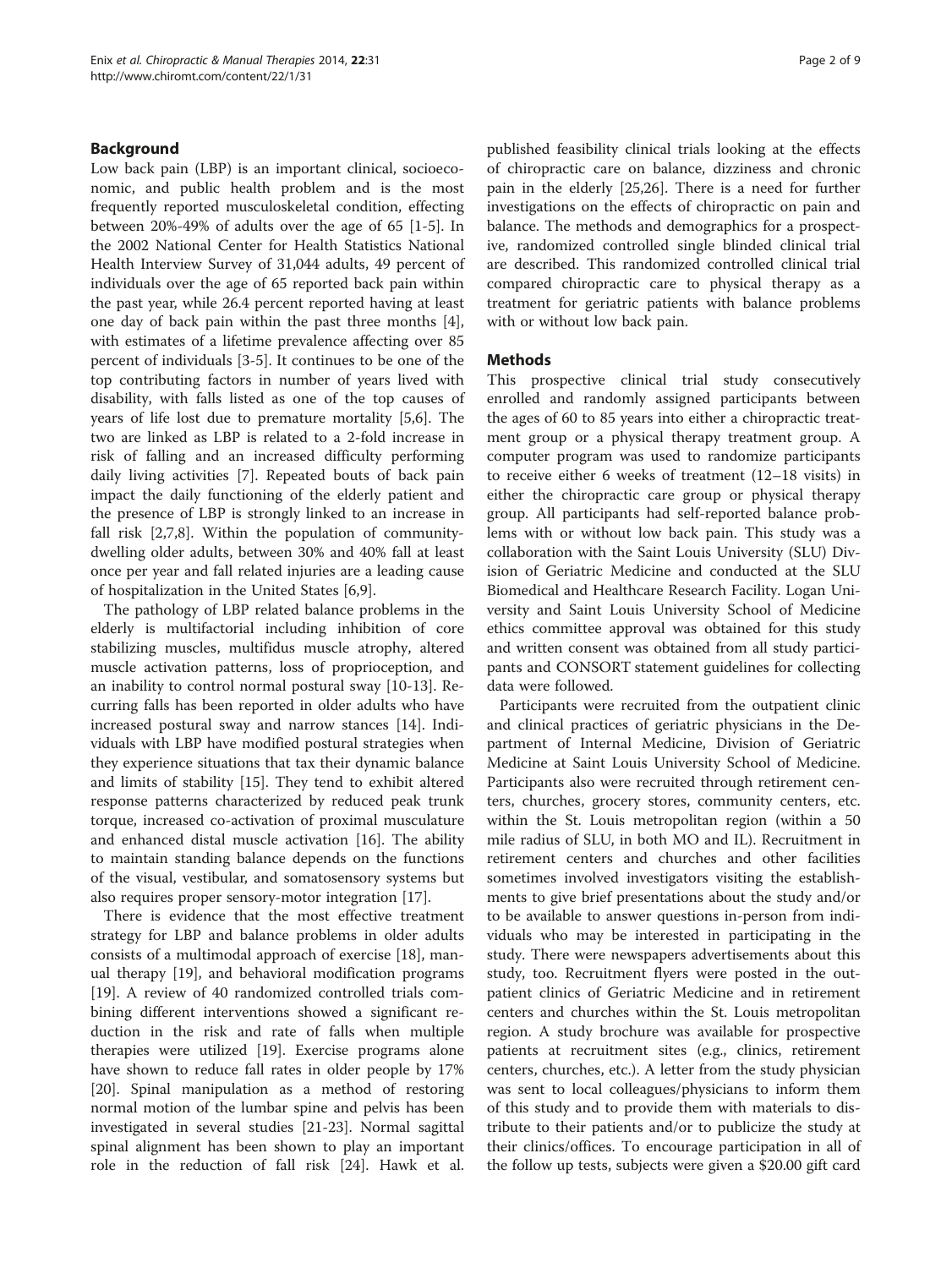# Background

Low back pain (LBP) is an important clinical, socioeconomic, and public health problem and is the most frequently reported musculoskeletal condition, effecting between 20%-49% of adults over the age of 65 [\[1](#page-7-0)-[5\]](#page-7-0). In the 2002 National Center for Health Statistics National Health Interview Survey of 31,044 adults, 49 percent of individuals over the age of 65 reported back pain within the past year, while 26.4 percent reported having at least one day of back pain within the past three months [\[4](#page-7-0)], with estimates of a lifetime prevalence affecting over 85 percent of individuals [\[3](#page-7-0)-[5\]](#page-7-0). It continues to be one of the top contributing factors in number of years lived with disability, with falls listed as one of the top causes of years of life lost due to premature mortality [[5,6\]](#page-7-0). The two are linked as LBP is related to a 2-fold increase in risk of falling and an increased difficulty performing daily living activities [\[7](#page-7-0)]. Repeated bouts of back pain impact the daily functioning of the elderly patient and the presence of LBP is strongly linked to an increase in fall risk [\[2,7,8](#page-7-0)]. Within the population of communitydwelling older adults, between 30% and 40% fall at least once per year and fall related injuries are a leading cause of hospitalization in the United States [\[6,9](#page-7-0)].

The pathology of LBP related balance problems in the elderly is multifactorial including inhibition of core stabilizing muscles, multifidus muscle atrophy, altered muscle activation patterns, loss of proprioception, and an inability to control normal postural sway [[10-13\]](#page-7-0). Recurring falls has been reported in older adults who have increased postural sway and narrow stances [[14\]](#page-7-0). Individuals with LBP have modified postural strategies when they experience situations that tax their dynamic balance and limits of stability [\[15\]](#page-7-0). They tend to exhibit altered response patterns characterized by reduced peak trunk torque, increased co-activation of proximal musculature and enhanced distal muscle activation [[16\]](#page-7-0). The ability to maintain standing balance depends on the functions of the visual, vestibular, and somatosensory systems but also requires proper sensory-motor integration [[17\]](#page-7-0).

There is evidence that the most effective treatment strategy for LBP and balance problems in older adults consists of a multimodal approach of exercise [[18\]](#page-7-0), manual therapy [\[19\]](#page-7-0), and behavioral modification programs [[19\]](#page-7-0). A review of 40 randomized controlled trials combining different interventions showed a significant reduction in the risk and rate of falls when multiple therapies were utilized [[19\]](#page-7-0). Exercise programs alone have shown to reduce fall rates in older people by 17% [[20\]](#page-7-0). Spinal manipulation as a method of restoring normal motion of the lumbar spine and pelvis has been investigated in several studies [[21-23](#page-7-0)]. Normal sagittal spinal alignment has been shown to play an important role in the reduction of fall risk [[24\]](#page-7-0). Hawk et al.

published feasibility clinical trials looking at the effects of chiropractic care on balance, dizziness and chronic pain in the elderly [[25,](#page-7-0)[26\]](#page-8-0). There is a need for further investigations on the effects of chiropractic on pain and balance. The methods and demographics for a prospective, randomized controlled single blinded clinical trial are described. This randomized controlled clinical trial compared chiropractic care to physical therapy as a treatment for geriatric patients with balance problems with or without low back pain.

#### Methods

This prospective clinical trial study consecutively enrolled and randomly assigned participants between the ages of 60 to 85 years into either a chiropractic treatment group or a physical therapy treatment group. A computer program was used to randomize participants to receive either 6 weeks of treatment (12–18 visits) in either the chiropractic care group or physical therapy group. All participants had self-reported balance problems with or without low back pain. This study was a collaboration with the Saint Louis University (SLU) Division of Geriatric Medicine and conducted at the SLU Biomedical and Healthcare Research Facility. Logan University and Saint Louis University School of Medicine ethics committee approval was obtained for this study and written consent was obtained from all study participants and CONSORT statement guidelines for collecting data were followed.

Participants were recruited from the outpatient clinic and clinical practices of geriatric physicians in the Department of Internal Medicine, Division of Geriatric Medicine at Saint Louis University School of Medicine. Participants also were recruited through retirement centers, churches, grocery stores, community centers, etc. within the St. Louis metropolitan region (within a 50 mile radius of SLU, in both MO and IL). Recruitment in retirement centers and churches and other facilities sometimes involved investigators visiting the establishments to give brief presentations about the study and/or to be available to answer questions in-person from individuals who may be interested in participating in the study. There were newspapers advertisements about this study, too. Recruitment flyers were posted in the outpatient clinics of Geriatric Medicine and in retirement centers and churches within the St. Louis metropolitan region. A study brochure was available for prospective patients at recruitment sites (e.g., clinics, retirement centers, churches, etc.). A letter from the study physician was sent to local colleagues/physicians to inform them of this study and to provide them with materials to distribute to their patients and/or to publicize the study at their clinics/offices. To encourage participation in all of the follow up tests, subjects were given a \$20.00 gift card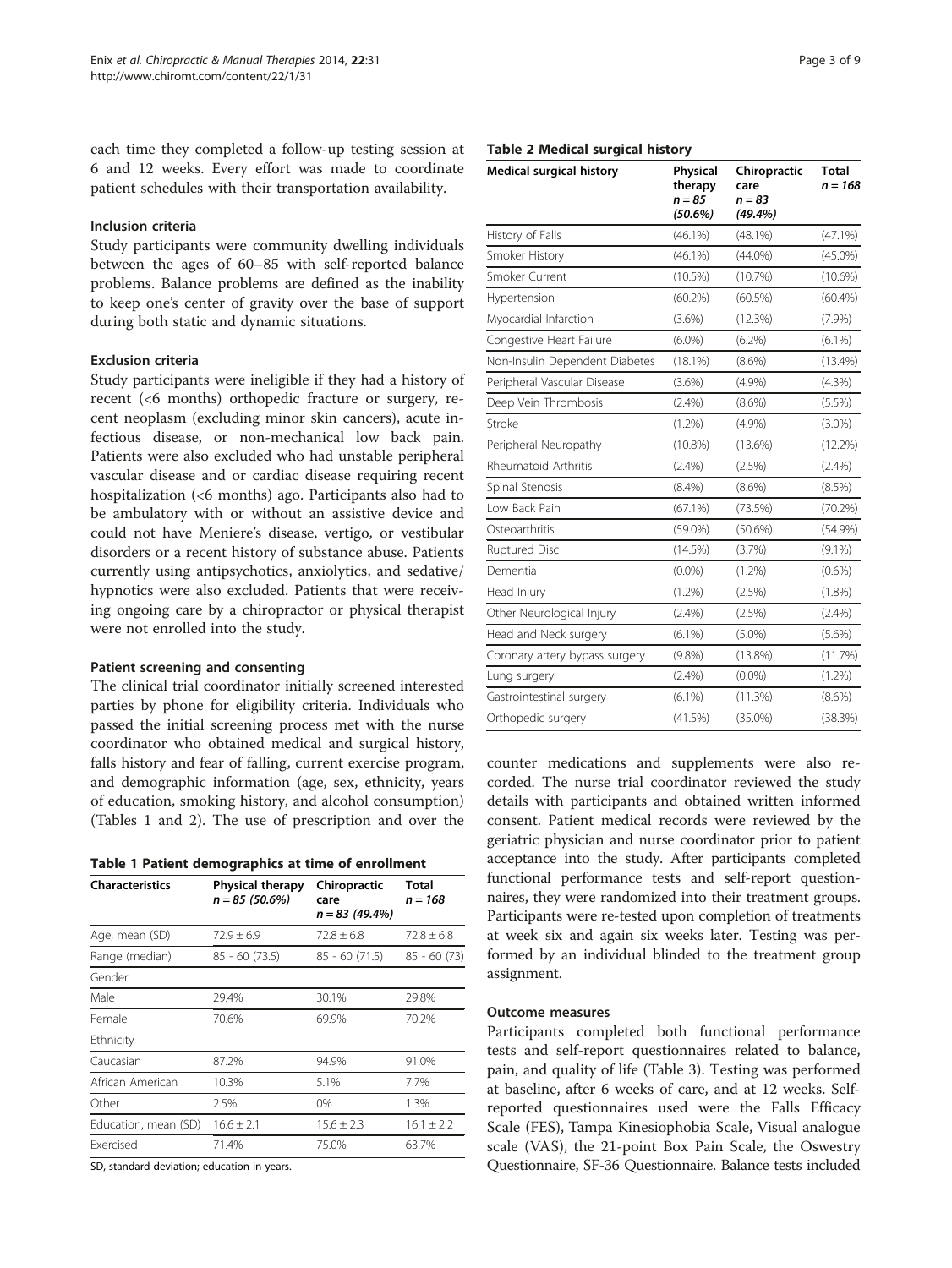each time they completed a follow-up testing session at 6 and 12 weeks. Every effort was made to coordinate patient schedules with their transportation availability.

#### Inclusion criteria

Study participants were community dwelling individuals between the ages of 60–85 with self-reported balance problems. Balance problems are defined as the inability to keep one's center of gravity over the base of support during both static and dynamic situations.

### Exclusion criteria

Study participants were ineligible if they had a history of recent (<6 months) orthopedic fracture or surgery, recent neoplasm (excluding minor skin cancers), acute infectious disease, or non-mechanical low back pain. Patients were also excluded who had unstable peripheral vascular disease and or cardiac disease requiring recent hospitalization (<6 months) ago. Participants also had to be ambulatory with or without an assistive device and could not have Meniere's disease, vertigo, or vestibular disorders or a recent history of substance abuse. Patients currently using antipsychotics, anxiolytics, and sedative/ hypnotics were also excluded. Patients that were receiving ongoing care by a chiropractor or physical therapist were not enrolled into the study.

#### Patient screening and consenting

The clinical trial coordinator initially screened interested parties by phone for eligibility criteria. Individuals who passed the initial screening process met with the nurse coordinator who obtained medical and surgical history, falls history and fear of falling, current exercise program, and demographic information (age, sex, ethnicity, years of education, smoking history, and alcohol consumption) (Tables 1 and 2). The use of prescription and over the

|  |  |  |  |  |  |  |  | Table 1 Patient demographics at time of enrollment |  |
|--|--|--|--|--|--|--|--|----------------------------------------------------|--|
|--|--|--|--|--|--|--|--|----------------------------------------------------|--|

| <b>Characteristics</b> | Physical therapy<br>$n = 85(50.6%)$ | Chiropractic<br>care<br>$n = 83(49.4%)$ | <b>Total</b><br>$n = 168$ |  |
|------------------------|-------------------------------------|-----------------------------------------|---------------------------|--|
| Age, mean (SD)         | $72.9 \pm 6.9$                      | $72.8 \pm 6.8$                          | $72.8 \pm 6.8$            |  |
| Range (median)         | $85 - 60(73.5)$                     | $85 - 60(71.5)$                         | $85 - 60(73)$             |  |
| Gender                 |                                     |                                         |                           |  |
| Male                   | 29.4%                               | 30.1%                                   | 29.8%                     |  |
| Female                 | 70.6%                               | 69.9%                                   | 70.2%                     |  |
| Ethnicity              |                                     |                                         |                           |  |
| Caucasian              | 87.2%                               | 94.9%                                   | 91.0%                     |  |
| African American       | 10.3%                               | 5.1%                                    | 7.7%                      |  |
| Other                  | 2.5%                                | 0%                                      | 1.3%                      |  |
| Education, mean (SD)   | $16.6 \pm 2.1$                      | $15.6 \pm 2.3$                          | $16.1 \pm 2.2$            |  |
| Exercised              | 71.4%                               | 75.0%                                   | 63.7%                     |  |

SD, standard deviation; education in years.

# Table 2 Medical surgical history

| $(46.1\%)$ |            |            |
|------------|------------|------------|
|            |            | $(47.1\%)$ |
| $(46.1\%)$ | $(44.0\%)$ | $(45.0\%)$ |
| $(10.5\%)$ | (10.7%)    | $(10.6\%)$ |
| $(60.2\%)$ | $(60.5\%)$ | (60.4%)    |
| $(3.6\%)$  | (12.3%)    | (7.9%)     |
| $(6.0\%)$  | $(6.2\%)$  | $(6.1\%)$  |
| $(18.1\%)$ | $(8.6\%)$  | $(13.4\%)$ |
| $(3.6\%)$  | (4.9%)     | $(4.3\%)$  |
| (2.4%)     | $(8.6\%)$  | (5.5%)     |
| $(1.2\%)$  | $(4.9\%)$  | $(3.0\%)$  |
| $(10.8\%)$ | $(13.6\%)$ | (12.2%)    |
| (2.4%)     | (2.5%)     | (2.4%)     |
| (8.4%)     | $(8.6\%)$  | (8.5%)     |
| $(67.1\%)$ | (73.5%)    | $(70.2\%)$ |
| $(59.0\%)$ | $(50.6\%)$ | $(54.9\%)$ |
| (14.5%)    | (3.7%)     | $(9.1\%)$  |
| $(0.0\%)$  | $(1.2\%)$  | (0.6% )    |
| $(1.2\%)$  | (2.5%)     | (1.8%)     |
| (2.4%)     | (2.5%)     | (2.4% )    |
| $(6.1\%)$  | $(5.0\%)$  | (5.6%)     |
| $(9.8\%)$  | $(13.8\%)$ | (11.7%)    |
| (2.4%)     | $(0.0\%)$  | $(1.2\%)$  |
| $(6.1\%)$  | (11.3%)    | $(8.6\%)$  |
| (41.5%)    | $(35.0\%)$ | (38.3%)    |
|            |            | $(48.1\%)$ |

counter medications and supplements were also recorded. The nurse trial coordinator reviewed the study details with participants and obtained written informed consent. Patient medical records were reviewed by the geriatric physician and nurse coordinator prior to patient acceptance into the study. After participants completed functional performance tests and self-report questionnaires, they were randomized into their treatment groups. Participants were re-tested upon completion of treatments at week six and again six weeks later. Testing was performed by an individual blinded to the treatment group assignment.

#### Outcome measures

Participants completed both functional performance tests and self-report questionnaires related to balance, pain, and quality of life (Table [3\)](#page-3-0). Testing was performed at baseline, after 6 weeks of care, and at 12 weeks. Selfreported questionnaires used were the Falls Efficacy Scale (FES), Tampa Kinesiophobia Scale, Visual analogue scale (VAS), the 21-point Box Pain Scale, the Oswestry Questionnaire, SF-36 Questionnaire. Balance tests included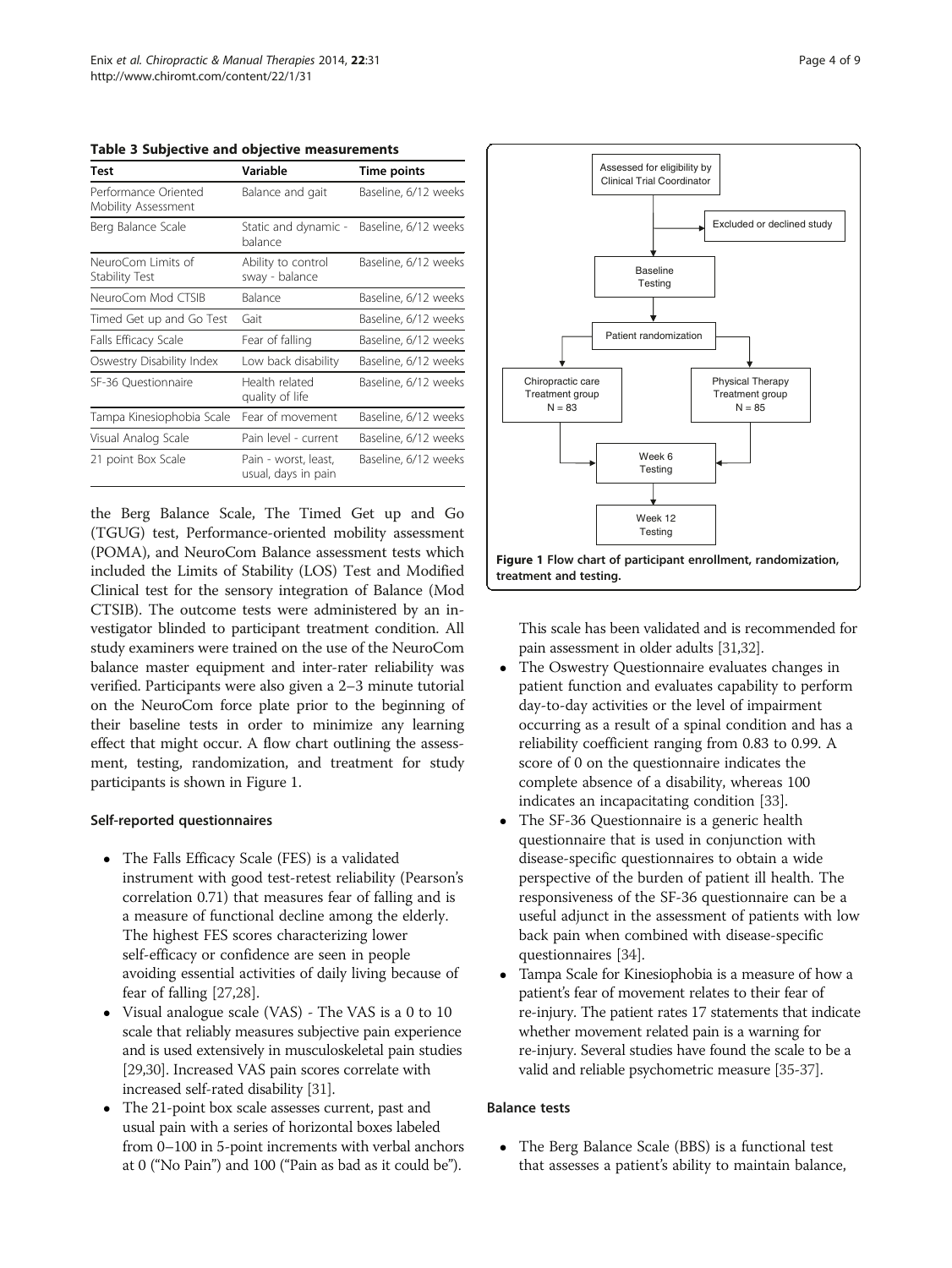<span id="page-3-0"></span>

|  |  |  |  |  | Table 3 Subjective and objective measurements |
|--|--|--|--|--|-----------------------------------------------|
|--|--|--|--|--|-----------------------------------------------|

| Test                                        | Variable                                    | Time points          |  |  |  |
|---------------------------------------------|---------------------------------------------|----------------------|--|--|--|
| Performance Oriented<br>Mobility Assessment | Balance and gait                            | Baseline, 6/12 weeks |  |  |  |
| Berg Balance Scale                          | Static and dynamic -<br>balance             | Baseline, 6/12 weeks |  |  |  |
| NeuroCom Limits of<br><b>Stability Test</b> | Ability to control<br>sway - balance        | Baseline, 6/12 weeks |  |  |  |
| NeuroCom Mod CTSIB                          | Balance                                     | Baseline, 6/12 weeks |  |  |  |
| Timed Get up and Go Test                    | Gait                                        | Baseline, 6/12 weeks |  |  |  |
| Falls Efficacy Scale                        | Fear of falling                             | Baseline, 6/12 weeks |  |  |  |
| Oswestry Disability Index                   | Low back disability                         | Baseline, 6/12 weeks |  |  |  |
| SF-36 Questionnaire                         | Health related<br>quality of life           | Baseline, 6/12 weeks |  |  |  |
| Tampa Kinesiophobia Scale                   | Fear of movement                            | Baseline, 6/12 weeks |  |  |  |
| Visual Analog Scale                         | Pain level - current                        | Baseline, 6/12 weeks |  |  |  |
| 21 point Box Scale                          | Pain - worst, least,<br>usual, days in pain | Baseline, 6/12 weeks |  |  |  |

the Berg Balance Scale, The Timed Get up and Go (TGUG) test, Performance-oriented mobility assessment (POMA), and NeuroCom Balance assessment tests which included the Limits of Stability (LOS) Test and Modified Clinical test for the sensory integration of Balance (Mod CTSIB). The outcome tests were administered by an investigator blinded to participant treatment condition. All study examiners were trained on the use of the NeuroCom balance master equipment and inter-rater reliability was verified. Participants were also given a 2–3 minute tutorial on the NeuroCom force plate prior to the beginning of their baseline tests in order to minimize any learning effect that might occur. A flow chart outlining the assessment, testing, randomization, and treatment for study participants is shown in Figure 1.

### Self-reported questionnaires

- The Falls Efficacy Scale (FES) is a validated instrument with good test-retest reliability (Pearson's correlation 0.71) that measures fear of falling and is a measure of functional decline among the elderly. The highest FES scores characterizing lower self-efficacy or confidence are seen in people avoiding essential activities of daily living because of fear of falling [[27](#page-8-0),[28](#page-8-0)].
- Visual analogue scale (VAS) The VAS is a 0 to 10 scale that reliably measures subjective pain experience and is used extensively in musculoskeletal pain studies [[29,30\]](#page-8-0). Increased VAS pain scores correlate with increased self-rated disability [\[31\]](#page-8-0).
- The 21-point box scale assesses current, past and usual pain with a series of horizontal boxes labeled from 0–100 in 5-point increments with verbal anchors at 0 ("No Pain") and 100 ("Pain as bad as it could be").



This scale has been validated and is recommended for pain assessment in older adults [\[31,32\]](#page-8-0).

- The Oswestry Questionnaire evaluates changes in patient function and evaluates capability to perform day-to-day activities or the level of impairment occurring as a result of a spinal condition and has a reliability coefficient ranging from 0.83 to 0.99. A score of 0 on the questionnaire indicates the complete absence of a disability, whereas 100 indicates an incapacitating condition [\[33](#page-8-0)].
- The SF-36 Ouestionnaire is a generic health questionnaire that is used in conjunction with disease-specific questionnaires to obtain a wide perspective of the burden of patient ill health. The responsiveness of the SF-36 questionnaire can be a useful adjunct in the assessment of patients with low back pain when combined with disease-specific questionnaires [[34](#page-8-0)].
- Tampa Scale for Kinesiophobia is a measure of how a patient's fear of movement relates to their fear of re-injury. The patient rates 17 statements that indicate whether movement related pain is a warning for re-injury. Several studies have found the scale to be a valid and reliable psychometric measure [[35](#page-8-0)-[37](#page-8-0)].

### Balance tests

• The Berg Balance Scale (BBS) is a functional test that assesses a patient's ability to maintain balance,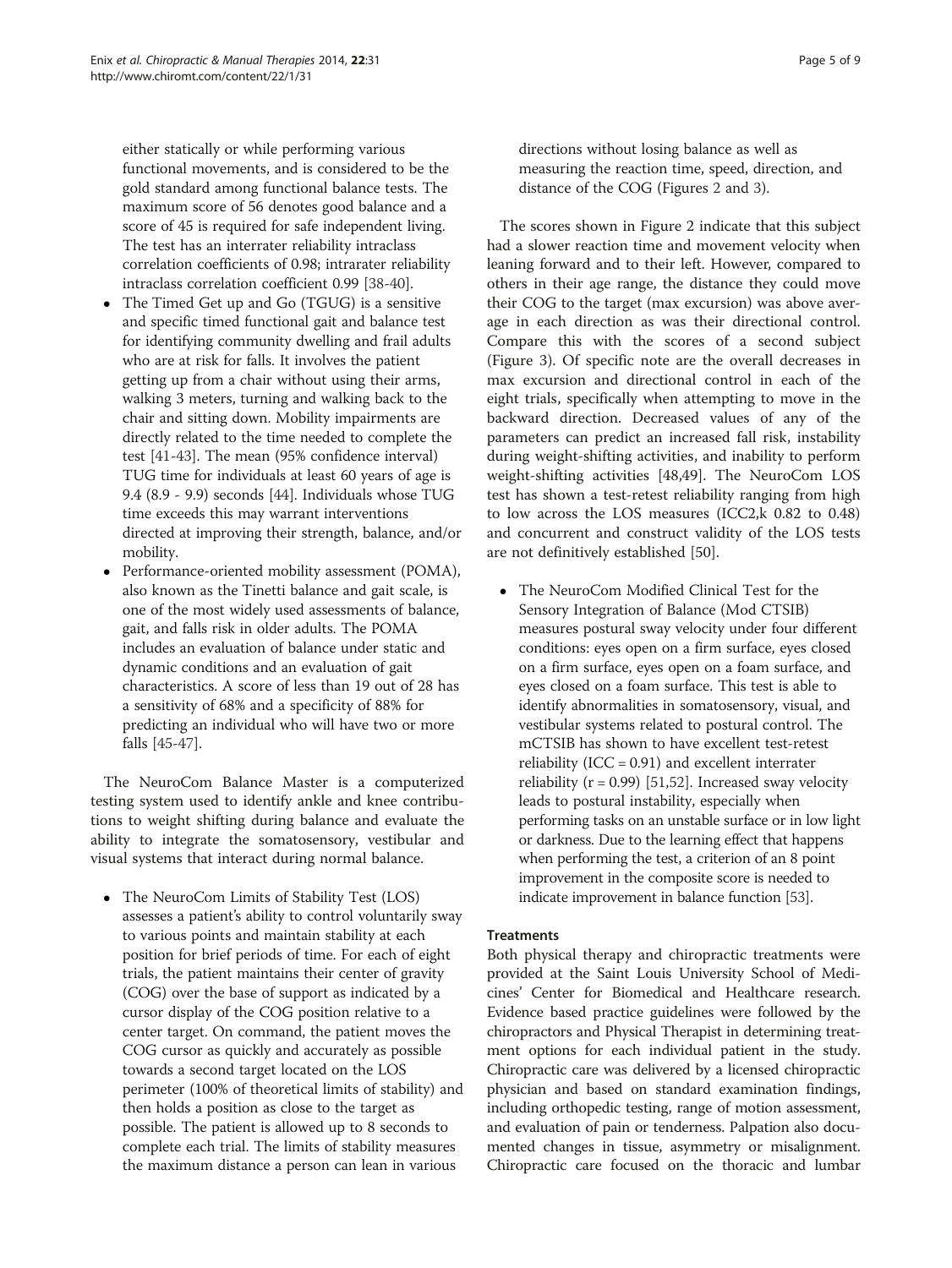either statically or while performing various functional movements, and is considered to be the gold standard among functional balance tests. The maximum score of 56 denotes good balance and a score of 45 is required for safe independent living. The test has an interrater reliability intraclass correlation coefficients of 0.98; intrarater reliability intraclass correlation coefficient 0.99 [[38-40\]](#page-8-0).

- The Timed Get up and Go (TGUG) is a sensitive and specific timed functional gait and balance test for identifying community dwelling and frail adults who are at risk for falls. It involves the patient getting up from a chair without using their arms, walking 3 meters, turning and walking back to the chair and sitting down. Mobility impairments are directly related to the time needed to complete the test [\[41-43\]](#page-8-0). The mean (95% confidence interval) TUG time for individuals at least 60 years of age is 9.4 (8.9 - 9.9) seconds [\[44\]](#page-8-0). Individuals whose TUG time exceeds this may warrant interventions directed at improving their strength, balance, and/or mobility.
- Performance-oriented mobility assessment (POMA), also known as the Tinetti balance and gait scale, is one of the most widely used assessments of balance, gait, and falls risk in older adults. The POMA includes an evaluation of balance under static and dynamic conditions and an evaluation of gait characteristics. A score of less than 19 out of 28 has a sensitivity of 68% and a specificity of 88% for predicting an individual who will have two or more falls [\[45](#page-8-0)-[47](#page-8-0)].

The NeuroCom Balance Master is a computerized testing system used to identify ankle and knee contributions to weight shifting during balance and evaluate the ability to integrate the somatosensory, vestibular and visual systems that interact during normal balance.

• The NeuroCom Limits of Stability Test (LOS) assesses a patient's ability to control voluntarily sway to various points and maintain stability at each position for brief periods of time. For each of eight trials, the patient maintains their center of gravity (COG) over the base of support as indicated by a cursor display of the COG position relative to a center target. On command, the patient moves the COG cursor as quickly and accurately as possible towards a second target located on the LOS perimeter (100% of theoretical limits of stability) and then holds a position as close to the target as possible. The patient is allowed up to 8 seconds to complete each trial. The limits of stability measures the maximum distance a person can lean in various

directions without losing balance as well as measuring the reaction time, speed, direction, and distance of the COG (Figures [2](#page-5-0) and [3\)](#page-6-0).

The scores shown in Figure [2](#page-5-0) indicate that this subject had a slower reaction time and movement velocity when leaning forward and to their left. However, compared to others in their age range, the distance they could move their COG to the target (max excursion) was above average in each direction as was their directional control. Compare this with the scores of a second subject (Figure [3\)](#page-6-0). Of specific note are the overall decreases in max excursion and directional control in each of the eight trials, specifically when attempting to move in the backward direction. Decreased values of any of the parameters can predict an increased fall risk, instability during weight-shifting activities, and inability to perform weight-shifting activities [[48,49\]](#page-8-0). The NeuroCom LOS test has shown a test-retest reliability ranging from high to low across the LOS measures (ICC2,k 0.82 to 0.48) and concurrent and construct validity of the LOS tests are not definitively established [\[50\]](#page-8-0).

 The NeuroCom Modified Clinical Test for the Sensory Integration of Balance (Mod CTSIB) measures postural sway velocity under four different conditions: eyes open on a firm surface, eyes closed on a firm surface, eyes open on a foam surface, and eyes closed on a foam surface. This test is able to identify abnormalities in somatosensory, visual, and vestibular systems related to postural control. The mCTSIB has shown to have excellent test-retest reliability (ICC =  $0.91$ ) and excellent interrater reliability ( $r = 0.99$ ) [\[51,52](#page-8-0)]. Increased sway velocity leads to postural instability, especially when performing tasks on an unstable surface or in low light or darkness. Due to the learning effect that happens when performing the test, a criterion of an 8 point improvement in the composite score is needed to indicate improvement in balance function [\[53\]](#page-8-0).

# **Treatments**

Both physical therapy and chiropractic treatments were provided at the Saint Louis University School of Medicines' Center for Biomedical and Healthcare research. Evidence based practice guidelines were followed by the chiropractors and Physical Therapist in determining treatment options for each individual patient in the study. Chiropractic care was delivered by a licensed chiropractic physician and based on standard examination findings, including orthopedic testing, range of motion assessment, and evaluation of pain or tenderness. Palpation also documented changes in tissue, asymmetry or misalignment. Chiropractic care focused on the thoracic and lumbar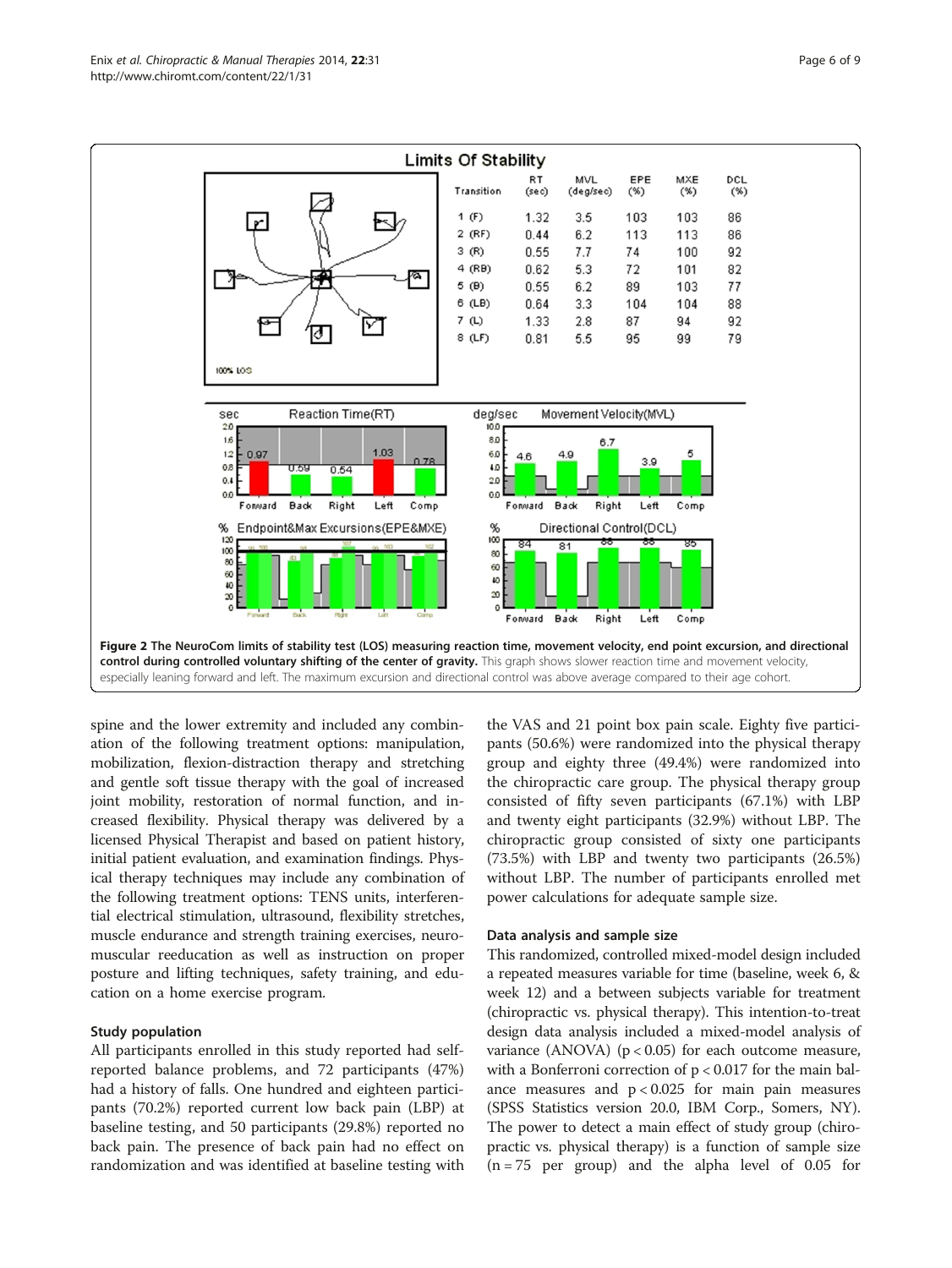<span id="page-5-0"></span>

spine and the lower extremity and included any combination of the following treatment options: manipulation, mobilization, flexion-distraction therapy and stretching and gentle soft tissue therapy with the goal of increased joint mobility, restoration of normal function, and increased flexibility. Physical therapy was delivered by a licensed Physical Therapist and based on patient history, initial patient evaluation, and examination findings. Physical therapy techniques may include any combination of the following treatment options: TENS units, interferential electrical stimulation, ultrasound, flexibility stretches, muscle endurance and strength training exercises, neuromuscular reeducation as well as instruction on proper posture and lifting techniques, safety training, and education on a home exercise program.

# Study population

All participants enrolled in this study reported had selfreported balance problems, and 72 participants (47%) had a history of falls. One hundred and eighteen participants (70.2%) reported current low back pain (LBP) at baseline testing, and 50 participants (29.8%) reported no back pain. The presence of back pain had no effect on randomization and was identified at baseline testing with the VAS and 21 point box pain scale. Eighty five participants (50.6%) were randomized into the physical therapy group and eighty three (49.4%) were randomized into the chiropractic care group. The physical therapy group consisted of fifty seven participants (67.1%) with LBP and twenty eight participants (32.9%) without LBP. The chiropractic group consisted of sixty one participants (73.5%) with LBP and twenty two participants (26.5%) without LBP. The number of participants enrolled met power calculations for adequate sample size.

#### Data analysis and sample size

This randomized, controlled mixed-model design included a repeated measures variable for time (baseline, week 6, & week 12) and a between subjects variable for treatment (chiropractic vs. physical therapy). This intention-to-treat design data analysis included a mixed-model analysis of variance (ANOVA) ( $p < 0.05$ ) for each outcome measure, with a Bonferroni correction of  $p < 0.017$  for the main balance measures and  $p < 0.025$  for main pain measures (SPSS Statistics version 20.0, IBM Corp., Somers, NY). The power to detect a main effect of study group (chiropractic vs. physical therapy) is a function of sample size  $(n = 75$  per group) and the alpha level of 0.05 for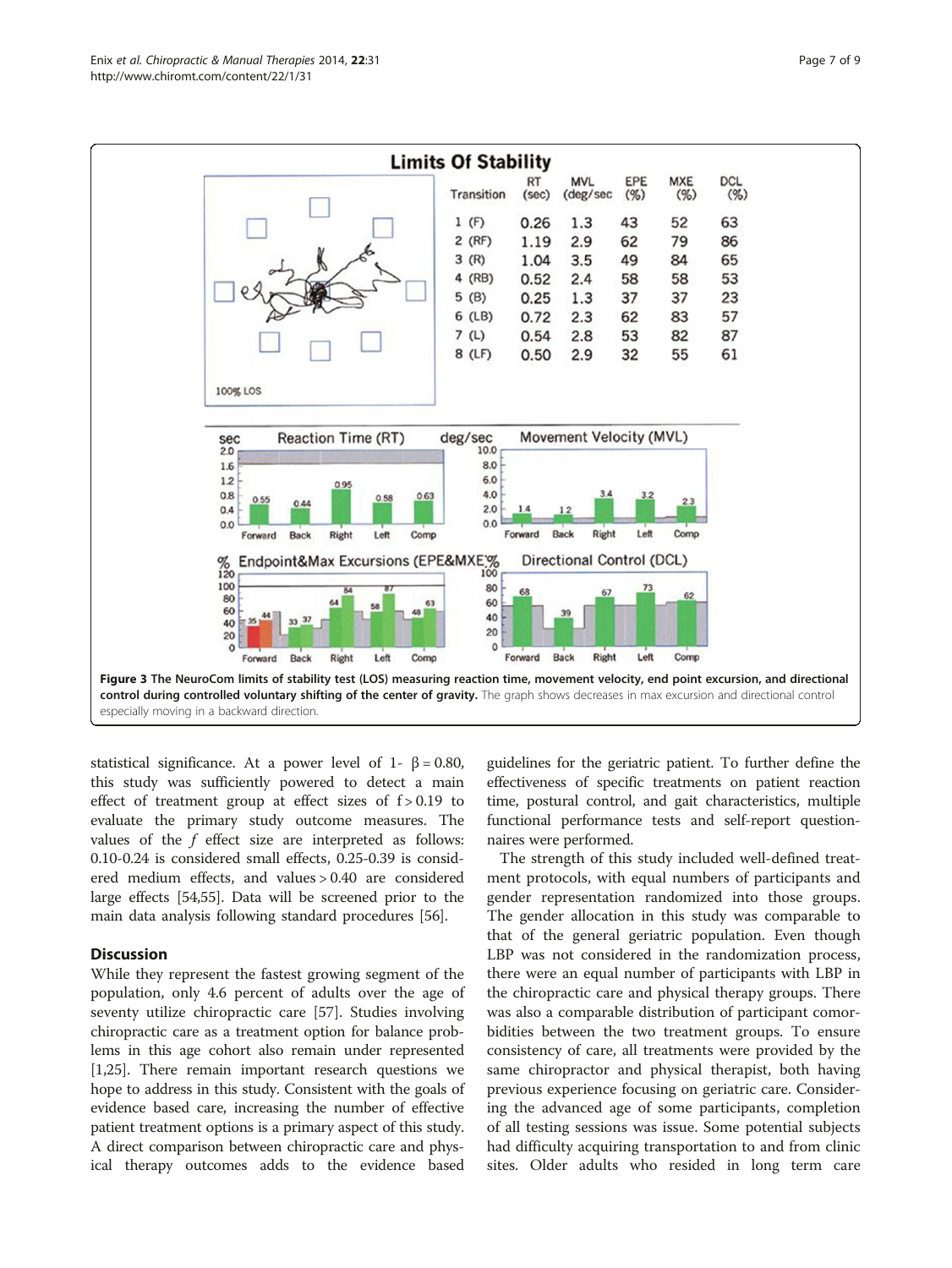<span id="page-6-0"></span>

statistical significance. At a power level of 1-  $\beta = 0.80$ , this study was sufficiently powered to detect a main effect of treatment group at effect sizes of  $f > 0.19$  to evaluate the primary study outcome measures. The values of the f effect size are interpreted as follows: 0.10-0.24 is considered small effects, 0.25-0.39 is considered medium effects, and values > 0.40 are considered large effects [[54,55](#page-8-0)]. Data will be screened prior to the main data analysis following standard procedures [\[56](#page-8-0)].

## **Discussion**

While they represent the fastest growing segment of the population, only 4.6 percent of adults over the age of seventy utilize chiropractic care [\[57](#page-8-0)]. Studies involving chiropractic care as a treatment option for balance problems in this age cohort also remain under represented [[1,25](#page-7-0)]. There remain important research questions we hope to address in this study. Consistent with the goals of evidence based care, increasing the number of effective patient treatment options is a primary aspect of this study. A direct comparison between chiropractic care and physical therapy outcomes adds to the evidence based guidelines for the geriatric patient. To further define the effectiveness of specific treatments on patient reaction time, postural control, and gait characteristics, multiple functional performance tests and self-report questionnaires were performed.

The strength of this study included well-defined treatment protocols, with equal numbers of participants and gender representation randomized into those groups. The gender allocation in this study was comparable to that of the general geriatric population. Even though LBP was not considered in the randomization process, there were an equal number of participants with LBP in the chiropractic care and physical therapy groups. There was also a comparable distribution of participant comorbidities between the two treatment groups. To ensure consistency of care, all treatments were provided by the same chiropractor and physical therapist, both having previous experience focusing on geriatric care. Considering the advanced age of some participants, completion of all testing sessions was issue. Some potential subjects had difficulty acquiring transportation to and from clinic sites. Older adults who resided in long term care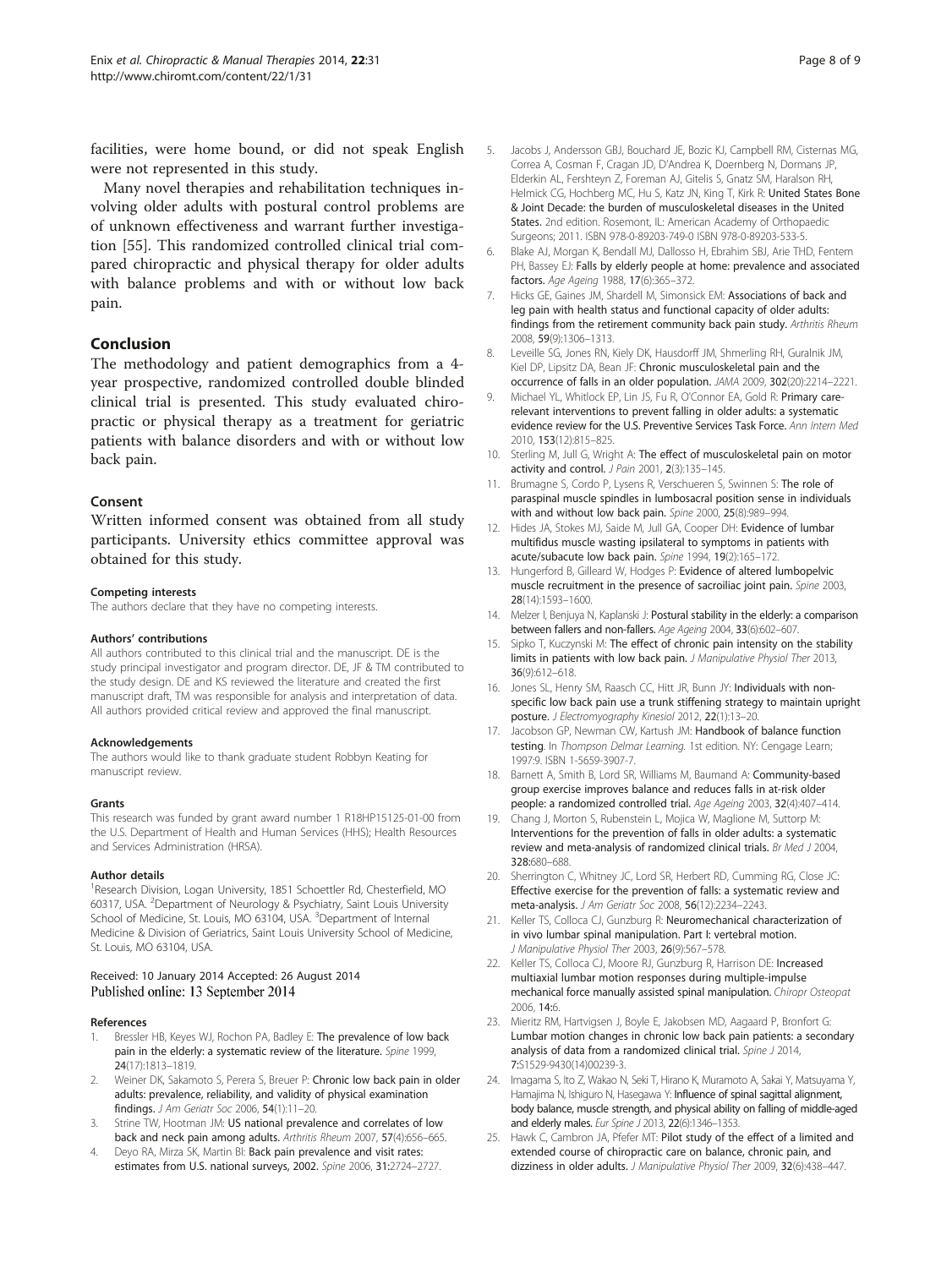<span id="page-7-0"></span>facilities, were home bound, or did not speak English were not represented in this study.

Many novel therapies and rehabilitation techniques involving older adults with postural control problems are of unknown effectiveness and warrant further investigation [[55](#page-8-0)]. This randomized controlled clinical trial compared chiropractic and physical therapy for older adults with balance problems and with or without low back pain.

### Conclusion

The methodology and patient demographics from a 4 year prospective, randomized controlled double blinded clinical trial is presented. This study evaluated chiropractic or physical therapy as a treatment for geriatric patients with balance disorders and with or without low back pain.

#### Consent

Written informed consent was obtained from all study participants. University ethics committee approval was obtained for this study.

#### Competing interests

The authors declare that they have no competing interests.

#### Authors' contributions

All authors contributed to this clinical trial and the manuscript. DE is the study principal investigator and program director. DE, JF & TM contributed to the study design. DE and KS reviewed the literature and created the first manuscript draft, TM was responsible for analysis and interpretation of data. All authors provided critical review and approved the final manuscript.

#### Acknowledgements

The authors would like to thank graduate student Robbyn Keating for manuscript review.

#### Grants

This research was funded by grant award number 1 R18HP15125-01-00 from the U.S. Department of Health and Human Services (HHS); Health Resources and Services Administration (HRSA).

#### Author details

<sup>1</sup>Research Division, Logan University, 1851 Schoettler Rd, Chesterfield, MO 60317, USA. <sup>2</sup>Department of Neurology & Psychiatry, Saint Louis University School of Medicine, St. Louis, MO 63104, USA. <sup>3</sup>Department of Internal Medicine & Division of Geriatrics, Saint Louis University School of Medicine, St. Louis, MO 63104, USA.

#### Received: 10 January 2014 Accepted: 26 August 2014 Published online: 13 September 2014

#### References

- Bressler HB, Keyes WJ, Rochon PA, Badley E: The prevalence of low back pain in the elderly: a systematic review of the literature. Spine 1999, 24(17):1813–1819.
- 2. Weiner DK, Sakamoto S, Perera S, Breuer P: Chronic low back pain in older adults: prevalence, reliability, and validity of physical examination findings. J Am Geriatr Soc 2006, 54(1):11–20.
- Strine TW, Hootman JM: US national prevalence and correlates of low back and neck pain among adults. Arthritis Rheum 2007, 57(4):656–665.
- 4. Deyo RA, Mirza SK, Martin BI: Back pain prevalence and visit rates: estimates from U.S. national surveys, 2002. Spine 2006, 31:2724–2727.
- Jacobs J, Andersson GBJ, Bouchard JE, Bozic KJ, Campbell RM, Cisternas MG, Correa A, Cosman F, Cragan JD, D'Andrea K, Doernberg N, Dormans JP, Elderkin AL, Fershteyn Z, Foreman AJ, Gitelis S, Gnatz SM, Haralson RH, Helmick CG, Hochberg MC, Hu S, Katz JN, King T, Kirk R: United States Bone & Joint Decade: the burden of musculoskeletal diseases in the United States. 2nd edition. Rosemont, IL: American Academy of Orthopaedic Surgeons; 2011. ISBN 978-0-89203-749-0 ISBN 978-0-89203-533-5.
- 6. Blake AJ, Morgan K, Bendall MJ, Dallosso H, Ebrahim SBJ, Arie THD, Fentem PH, Bassey EJ: Falls by elderly people at home: prevalence and associated factors. Age Ageing 1988, 17(6):365–372.
- 7. Hicks GE, Gaines JM, Shardell M, Simonsick EM: Associations of back and leg pain with health status and functional capacity of older adults: findings from the retirement community back pain study. Arthritis Rheum 2008, 59(9):1306–1313.
- 8. Leveille SG, Jones RN, Kiely DK, Hausdorff JM, Shmerling RH, Guralnik JM, Kiel DP, Lipsitz DA, Bean JF: Chronic musculoskeletal pain and the occurrence of falls in an older population. JAMA 2009, 302(20):2214–2221.
- 9. Michael YL, Whitlock EP, Lin JS, Fu R, O'Connor EA, Gold R: Primary carerelevant interventions to prevent falling in older adults: a systematic evidence review for the U.S. Preventive Services Task Force. Ann Intern Med 2010, 153(12):815–825.
- 10. Sterling M, Jull G, Wright A: The effect of musculoskeletal pain on motor activity and control. J Pain 2001, 2(3):135-145.
- 11. Brumagne S, Cordo P, Lysens R, Verschueren S, Swinnen S: The role of paraspinal muscle spindles in lumbosacral position sense in individuals with and without low back pain. Spine 2000, 25(8):989–994.
- 12. Hides JA, Stokes MJ, Saide M, Jull GA, Cooper DH: Evidence of lumbar multifidus muscle wasting ipsilateral to symptoms in patients with acute/subacute low back pain. Spine 1994, 19(2):165–172.
- 13. Hungerford B, Gilleard W, Hodges P: Evidence of altered lumbopelvic muscle recruitment in the presence of sacroiliac joint pain. Spine 2003, 28(14):1593–1600.
- 14. Melzer I, Benjuya N, Kaplanski J: Postural stability in the elderly: a comparison between fallers and non-fallers. Age Ageing 2004, 33(6):602–607.
- 15. Sipko T, Kuczynski M: The effect of chronic pain intensity on the stability limits in patients with low back pain. J Manipulative Physiol Ther 2013, 36(9):612–618.
- 16. Jones SL, Henry SM, Raasch CC, Hitt JR, Bunn JY: Individuals with nonspecific low back pain use a trunk stiffening strategy to maintain upright posture. J Electromyography Kinesiol 2012, 22(1):13–20.
- 17. Jacobson GP, Newman CW, Kartush JM: Handbook of balance function testing. In Thompson Delmar Learning. 1st edition. NY: Cengage Learn; 1997:9. ISBN 1-5659-3907-7.
- 18. Barnett A, Smith B, Lord SR, Williams M, Baumand A: Community-based group exercise improves balance and reduces falls in at-risk older people: a randomized controlled trial. Age Ageing 2003, 32(4):407–414.
- 19. Chang J, Morton S, Rubenstein L, Mojica W, Maglione M, Suttorp M: Interventions for the prevention of falls in older adults: a systematic review and meta-analysis of randomized clinical trials. Br Med J 2004, 328:680–688.
- 20. Sherrington C, Whitney JC, Lord SR, Herbert RD, Cumming RG, Close JC: Effective exercise for the prevention of falls: a systematic review and meta-analysis. J Am Geriatr Soc 2008, 56(12):2234–2243.
- 21. Keller TS, Colloca CJ, Gunzburg R: Neuromechanical characterization of in vivo lumbar spinal manipulation. Part I: vertebral motion. J Manipulative Physiol Ther 2003, 26(9):567–578.
- 22. Keller TS, Colloca CJ, Moore RJ, Gunzburg R, Harrison DE: Increased multiaxial lumbar motion responses during multiple-impulse mechanical force manually assisted spinal manipulation. Chiropr Osteopat 2006, 14:6.
- 23. Mieritz RM, Hartvigsen J, Boyle E, Jakobsen MD, Aagaard P, Bronfort G: Lumbar motion changes in chronic low back pain patients: a secondary analysis of data from a randomized clinical trial. Spine J 2014, 7:S1529-9430(14)00239-3.
- 24. Imagama S, Ito Z, Wakao N, Seki T, Hirano K, Muramoto A, Sakai Y, Matsuyama Y, Hamajima N, Ishiguro N, Hasegawa Y: Influence of spinal sagittal alignment, body balance, muscle strength, and physical ability on falling of middle-aged and elderly males. Eur Spine J 2013, 22(6):1346–1353.
- 25. Hawk C, Cambron JA, Pfefer MT: Pilot study of the effect of a limited and extended course of chiropractic care on balance, chronic pain, and dizziness in older adults. J Manipulative Physiol Ther 2009, 32(6):438–447.